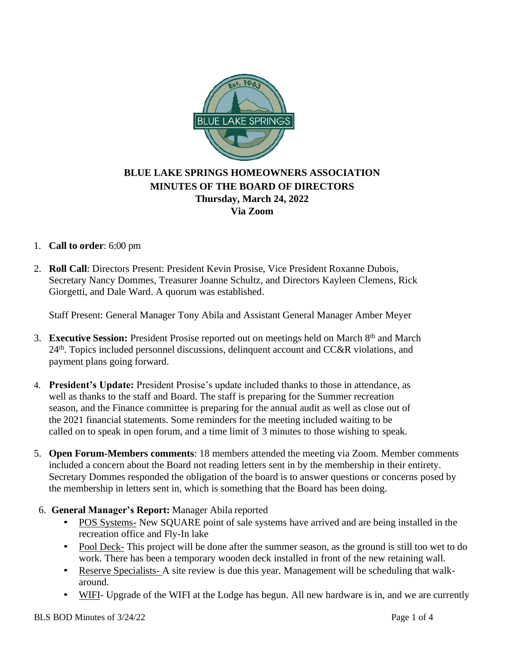

# **BLUE LAKE SPRINGS HOMEOWNERS ASSOCIATION MINUTES OF THE BOARD OF DIRECTORS Thursday, March 24, 2022 Via Zoom**

## 1. **Call to order**: 6:00 pm

2. **Roll Call**: Directors Present: President Kevin Prosise, Vice President Roxanne Dubois, Secretary Nancy Dommes, Treasurer Joanne Schultz, and Directors Kayleen Clemens, Rick Giorgetti, and Dale Ward. A quorum was established.

Staff Present: General Manager Tony Abila and Assistant General Manager Amber Meyer

- 3. **Executive Session:** President Prosise reported out on meetings held on March 8th and March  $24<sup>th</sup>$ . Topics included personnel discussions, delinquent account and CC&R violations, and payment plans going forward.
- 4. **President's Update:** President Prosise's update included thanks to those in attendance, as well as thanks to the staff and Board. The staff is preparing for the Summer recreation season, and the Finance committee is preparing for the annual audit as well as close out of the 2021 financial statements. Some reminders for the meeting included waiting to be called on to speak in open forum, and a time limit of 3 minutes to those wishing to speak.
- 5. **Open Forum-Members comments**: 18 members attended the meeting via Zoom. Member comments included a concern about the Board not reading letters sent in by the membership in their entirety. Secretary Dommes responded the obligation of the board is to answer questions or concerns posed by the membership in letters sent in, which is something that the Board has been doing.
- 6. **General Manager's Report:** Manager Abila reported
	- POS Systems- New SQUARE point of sale systems have arrived and are being installed in the recreation office and Fly-In lake
	- Pool Deck- This project will be done after the summer season, as the ground is still too wet to do work. There has been a temporary wooden deck installed in front of the new retaining wall.
	- Reserve Specialists- A site review is due this year. Management will be scheduling that walkaround.
	- WIFI- Upgrade of the WIFI at the Lodge has begun. All new hardware is in, and we are currently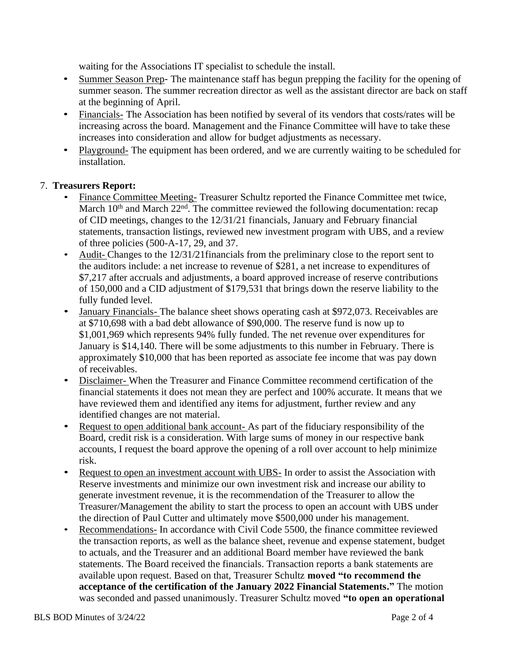waiting for the Associations IT specialist to schedule the install.

- Summer Season Prep- The maintenance staff has begun prepping the facility for the opening of summer season. The summer recreation director as well as the assistant director are back on staff at the beginning of April.
- Financials- The Association has been notified by several of its vendors that costs/rates will be increasing across the board. Management and the Finance Committee will have to take these increases into consideration and allow for budget adjustments as necessary.
- Playground- The equipment has been ordered, and we are currently waiting to be scheduled for installation.

#### 7. **Treasurers Report:**

- Finance Committee Meeting-Treasurer Schultz reported the Finance Committee met twice, March  $10<sup>th</sup>$  and March  $22<sup>nd</sup>$ . The committee reviewed the following documentation: recap of CID meetings, changes to the 12/31/21 financials, January and February financial statements, transaction listings, reviewed new investment program with UBS, and a review of three policies (500-A-17, 29, and 37.
- Audit- Changes to the 12/31/21 financials from the preliminary close to the report sent to the auditors include: a net increase to revenue of \$281, a net increase to expenditures of \$7,217 after accruals and adjustments, a board approved increase of reserve contributions of 150,000 and a CID adjustment of \$179,531 that brings down the reserve liability to the fully funded level.
- January Financials-The balance sheet shows operating cash at \$972,073. Receivables are at \$710,698 with a bad debt allowance of \$90,000. The reserve fund is now up to \$1,001,969 which represents 94% fully funded. The net revenue over expenditures for January is \$14,140. There will be some adjustments to this number in February. There is approximately \$10,000 that has been reported as associate fee income that was pay down of receivables.
- Disclaimer- When the Treasurer and Finance Committee recommend certification of the financial statements it does not mean they are perfect and 100% accurate. It means that we have reviewed them and identified any items for adjustment, further review and any identified changes are not material.
- Request to open additional bank account- As part of the fiduciary responsibility of the Board, credit risk is a consideration. With large sums of money in our respective bank accounts, I request the board approve the opening of a roll over account to help minimize risk.
- Request to open an investment account with UBS- In order to assist the Association with Reserve investments and minimize our own investment risk and increase our ability to generate investment revenue, it is the recommendation of the Treasurer to allow the Treasurer/Management the ability to start the process to open an account with UBS under the direction of Paul Cutter and ultimately move \$500,000 under his management.
- Recommendations- In accordance with Civil Code 5500, the finance committee reviewed the transaction reports, as well as the balance sheet, revenue and expense statement, budget to actuals, and the Treasurer and an additional Board member have reviewed the bank statements. The Board received the financials. Transaction reports a bank statements are available upon request. Based on that, Treasurer Schultz **moved "to recommend the acceptance of the certification of the January 2022 Financial Statements."** The motion was seconded and passed unanimously. Treasurer Schultz moved **"to open an operational**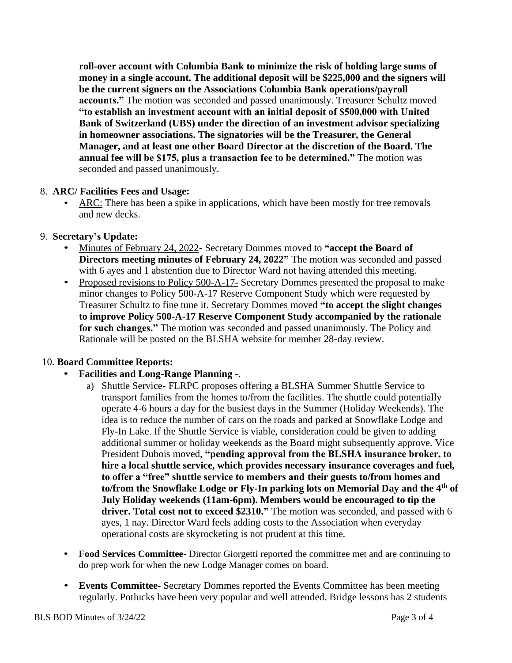**roll-over account with Columbia Bank to minimize the risk of holding large sums of money in a single account. The additional deposit will be \$225,000 and the signers will be the current signers on the Associations Columbia Bank operations/payroll accounts."** The motion was seconded and passed unanimously. Treasurer Schultz moved **"to establish an investment account with an initial deposit of \$500,000 with United Bank of Switzerland (UBS) under the direction of an investment advisor specializing in homeowner associations. The signatories will be the Treasurer, the General Manager, and at least one other Board Director at the discretion of the Board. The annual fee will be \$175, plus a transaction fee to be determined."** The motion was seconded and passed unanimously.

#### 8. **ARC/ Facilities Fees and Usage:**

• ARC: There has been a spike in applications, which have been mostly for tree removals and new decks.

#### 9. **Secretary's Update:**

- Minutes of February 24, 2022- Secretary Dommes moved to **"accept the Board of Directors meeting minutes of February 24, 2022"** The motion was seconded and passed with 6 ayes and 1 abstention due to Director Ward not having attended this meeting.
- Proposed revisions to Policy 500-A-17- Secretary Dommes presented the proposal to make minor changes to Policy 500-A-17 Reserve Component Study which were requested by Treasurer Schultz to fine tune it. Secretary Dommes moved **"to accept the slight changes to improve Policy 500-A-17 Reserve Component Study accompanied by the rationale for such changes."** The motion was seconded and passed unanimously. The Policy and Rationale will be posted on the BLSHA website for member 28-day review.

## 10. **Board Committee Reports:**

## • **Facilities and Long-Range Planning** -.

- a) Shuttle Service- FLRPC proposes offering a BLSHA Summer Shuttle Service to transport families from the homes to/from the facilities. The shuttle could potentially operate 4-6 hours a day for the busiest days in the Summer (Holiday Weekends). The idea is to reduce the number of cars on the roads and parked at Snowflake Lodge and Fly-In Lake. If the Shuttle Service is viable, consideration could be given to adding additional summer or holiday weekends as the Board might subsequently approve. Vice President Dubois moved, **"pending approval from the BLSHA insurance broker, to hire a local shuttle service, which provides necessary insurance coverages and fuel, to offer a "free" shuttle service to members and their guests to/from homes and to/from the Snowflake Lodge or Fly-In parking lots on Memorial Day and the 4th of July Holiday weekends (11am-6pm). Members would be encouraged to tip the driver. Total cost not to exceed \$2310."** The motion was seconded, and passed with 6 ayes, 1 nay. Director Ward feels adding costs to the Association when everyday operational costs are skyrocketing is not prudent at this time.
- **Food Services Committee-** Director Giorgetti reported the committee met and are continuing to do prep work for when the new Lodge Manager comes on board.
- **Events Committee-** Secretary Dommes reported the Events Committee has been meeting regularly. Potlucks have been very popular and well attended. Bridge lessons has 2 students